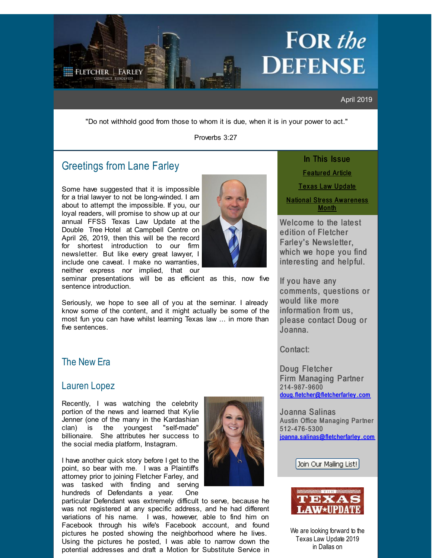# FOR the **DEFENSE**

April 2019

"Do not withhold good from those to whom it is due, when it is in your power to act."

Proverbs 3:27

## Greetings from Lane [Farley](http://r20.rs6.net/tn.jsp?f=001CSVYMopEh_tH7p7bym7KKhTgzMatwghRGXM8_O4TpxDRoCNGa6-PC1obEguYbPQl7mtXNhYzLVdAFQmmr52-wkswVMs_nyTZgqSzMNftPnUWdRSoaZukFrUWZLzk3nIHbceo_2Zuo_DsmnFb7-a2bccBdhHqEUe2MDH3-qwnNV-ztQTKujeBdYaa82bFu5zh05Mv50AbLyOeObUTBEeDkQ==&c=&ch=)

<span id="page-0-0"></span>**FLETCHER | FARLEY** 

Some have suggested that it is impossible for a trial lawyer to not be long-winded. I am about to attempt the impossible. If you, our loyal readers, will promise to show up at our annual FFSS Texas Law Update at the Double Tree Hotel at Campbell Centre on April 26, 2019, then this will be the record for shortest introduction to our firm newsletter. But like every great lawyer, I include one caveat. I make no warranties, neither express nor implied, that our



seminar presentations will be as efficient as this, now five sentence introduction.

Seriously, we hope to see all of you at the seminar. I already know some of the content, and it might actually be some of the most fun you can have whilst learning Texas law ... in more than five sentences.

### The New Era

#### [Lauren](http://r20.rs6.net/tn.jsp?f=001CSVYMopEh_tH7p7bym7KKhTgzMatwghRGXM8_O4TpxDRoCNGa6-PC2S_9iRsg_BWJSn_rXEy89NMdHkyPC2JE_QellrGapSWgrmgAMhUEVFSINlC3PsmysVoYFIrIXEsW5wQ7rGOEw_pLq_KSQfzjDlMOYwJRUcGw2v95Cyd6XyopQJw2AOIRQ4lreUb_QlmqBVi1zT-UlNDrHLh1uSvHQ==&c=&ch=) Lopez

Recently, I was watching the celebrity portion of the news and learned that Kylie Jenner (one of the many in the Kardashian clan) is the youngest "self-made" billionaire. She attributes her success to the social media platform, Instagram.

I have another quick story before I get to the point, so bear with me. I was a Plaintiff's attorney prior to joining Fletcher Farley, and was tasked with finding and serving hundreds of Defendants a year. One



particular Defendant was extremely difficult to serve, because he was not registered at any specific address, and he had different variations of his name. I was, however, able to find him on Facebook through his wife's Facebook account, and found pictures he posted showing the neighborhood where he lives. Using the pictures he posted, I was able to narrow down the potential addresses and draft a Motion for Substitute Service in

In This Issue [Featur](#page-0-0) ed Article

Tex as Law [Update](#page-0-0)

**[National](#page-0-0) Stress Awareness Month** 

Welcome to the latest edition of Fletcher Farley's Newsletter, which we hope you find interesting and helpful.

If you have any comments, questions or would like more information from us, please contact Doug or Joanna.

Contact:

Doug Fletcher Firm Managing Partner 214- 987- 9600 [doug.fletcher@fletcherfarley](mailto:doug.fletcher@fletcherfarley.com) . com

Joanna Salinas Austin Office Managing Partner 512- 476- 5300 joanna. [salinas@fletcherfarley](mailto:joanna.salinas@fletcherfarley.com) . com

Join Our Mailing List!



We are looking forward to the Texas Law Update 2019 in Dallas on